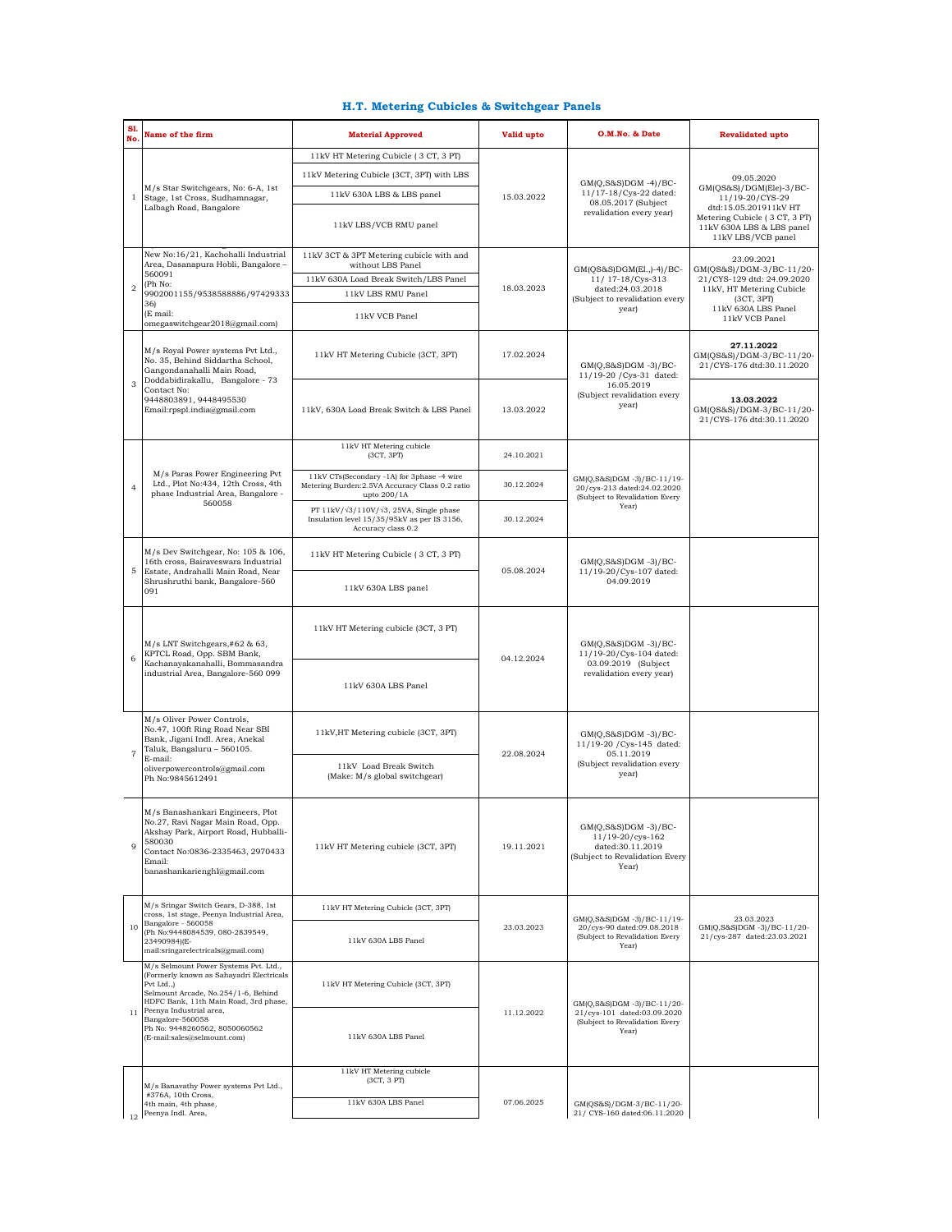## **H.T. Metering Cubicles & Switchgear Panels**

| S1<br>No       | Name of the firm                                                                                                                                                                                                                                                                               | <b>Material Approved</b>                                                                                                    | Valid upto | O.M.No. & Date                                                                                               | <b>Revalidated upto</b>                                                                                                                                                 |
|----------------|------------------------------------------------------------------------------------------------------------------------------------------------------------------------------------------------------------------------------------------------------------------------------------------------|-----------------------------------------------------------------------------------------------------------------------------|------------|--------------------------------------------------------------------------------------------------------------|-------------------------------------------------------------------------------------------------------------------------------------------------------------------------|
|                | M/s Star Switchgears, No: 6-A, 1st<br>Stage, 1st Cross, Sudhamnagar,<br>Lalbagh Road, Bangalore                                                                                                                                                                                                | 11kV HT Metering Cubicle (3 CT, 3 PT)                                                                                       | 15.03.2022 |                                                                                                              | 09.05.2020<br>$GM(QS&S)/DGM(Ele)-3/BC-$<br>11/19-20/CYS-29<br>dtd:15.05.201911kV HT<br>Metering Cubicle (3 CT, 3 PT)<br>11kV 630A LBS & LBS panel<br>11kV LBS/VCB panel |
| 1              |                                                                                                                                                                                                                                                                                                | 11kV Metering Cubicle (3CT, 3PT) with LBS                                                                                   |            | $GM(Q,S&S)DGM -4)/BC-$<br>11/17-18/Cys-22 dated:<br>08.05.2017 (Subject<br>revalidation every year)          |                                                                                                                                                                         |
|                |                                                                                                                                                                                                                                                                                                | 11kV 630A LBS & LBS panel                                                                                                   |            |                                                                                                              |                                                                                                                                                                         |
|                |                                                                                                                                                                                                                                                                                                | 11kV LBS/VCB RMU panel                                                                                                      |            |                                                                                                              |                                                                                                                                                                         |
| $\overline{2}$ | New No:16/21, Kachohalli Industrial<br>Area, Dasanapura Hobli, Bangalore -<br>560091<br>(Ph No:<br>9902001155/9538588886/97429333<br>36)<br>(E mail:<br>omegaswitchgear2018@gmail.com)                                                                                                         | 11kV 3CT & 3PT Metering cubicle with and<br>without LBS Panel                                                               | 18.03.2023 | GM(QS&S)DGM(El.,)-4)/BC-<br>11/ 17-18/Cys-313<br>dated:24.03.2018<br>(Subject to revalidation every<br>year) | 23.09.2021<br>GM(QS&S)/DGM-3/BC-11/20-<br>21/CYS-129 dtd: 24.09.2020<br>11kV, HT Metering Cubicle<br>(3CT, 3PT)<br>11kV 630A LBS Panel<br>11kV VCB Panel                |
|                |                                                                                                                                                                                                                                                                                                | 11kV 630A Load Break Switch/LBS Panel                                                                                       |            |                                                                                                              |                                                                                                                                                                         |
|                |                                                                                                                                                                                                                                                                                                | 11kV LBS RMU Panel                                                                                                          |            |                                                                                                              |                                                                                                                                                                         |
|                |                                                                                                                                                                                                                                                                                                | 11kV VCB Panel                                                                                                              |            |                                                                                                              |                                                                                                                                                                         |
| 3              | M/s Royal Power systems Pvt Ltd.,<br>No. 35, Behind Siddartha School,<br>Gangondanahalli Main Road,<br>Doddabidirakallu, Bangalore - 73<br>Contact No:<br>9448803891, 9448495530<br>Email:rpspl.india@gmail.com                                                                                | 11kV HT Metering Cubicle (3CT, 3PT)                                                                                         | 17.02.2024 | $GM(Q,S&S)DGM -3)/BC-$<br>11/19-20 / Cys-31 dated:<br>16.05.2019<br>(Subject revalidation every<br>year)     | 27.11.2022<br>GM(QS&S)/DGM-3/BC-11/20-<br>21/CYS-176 dtd:30.11.2020                                                                                                     |
|                |                                                                                                                                                                                                                                                                                                | 11kV, 630A Load Break Switch & LBS Panel                                                                                    | 13.03.2022 |                                                                                                              | 13.03.2022<br>GM(QS&S)/DGM-3/BC-11/20-<br>21/CYS-176 dtd:30.11.2020                                                                                                     |
|                | M/s Paras Power Engineering Pvt<br>Ltd., Plot No:434, 12th Cross, 4th<br>phase Industrial Area, Bangalore -<br>560058                                                                                                                                                                          | 11kV HT Metering cubicle<br>(3CT, 3PT)                                                                                      | 24.10.2021 | GM(Q,S&S)DGM -3)/BC-11/19-<br>20/cys-213 dated:24.02.2020<br>(Subject to Revalidation Every<br>Year)         |                                                                                                                                                                         |
| $\overline{4}$ |                                                                                                                                                                                                                                                                                                | 11kV CTs(Secondary -1A) for 3phase -4 wire<br>Metering Burden: 2.5VA Accuracy Class 0.2 ratio<br>upto 200/1A                | 30.12.2024 |                                                                                                              |                                                                                                                                                                         |
|                |                                                                                                                                                                                                                                                                                                | PT 11kV/ $\sqrt{3}/110V/\sqrt{3}$ , 25VA, Single phase<br>Insulation level 15/35/95kV as per IS 3156,<br>Accuracy class 0.2 | 30.12.2024 |                                                                                                              |                                                                                                                                                                         |
| 5              | $M/s$ Dev Switchgear, No: 105 & 106,<br>16th cross, Bairaveswara Industrial<br>Estate, Andrahalli Main Road, Near<br>Shrushruthi bank, Bangalore-560<br>091                                                                                                                                    | 11kV HT Metering Cubicle (3 CT, 3 PT)                                                                                       | 05.08.2024 | $GM(Q,S&S)DGM -3)/BC-$                                                                                       |                                                                                                                                                                         |
|                |                                                                                                                                                                                                                                                                                                | 11kV 630A LBS panel                                                                                                         |            | 11/19-20/Cys-107 dated:<br>04.09.2019                                                                        |                                                                                                                                                                         |
| 6              | M/s LNT Switchgears,#62 & 63,<br>KPTCL Road, Opp. SBM Bank,<br>Kachanayakanahalli, Bommasandra<br>industrial Area, Bangalore-560 099                                                                                                                                                           | 11kV HT Metering cubicle (3CT, 3 PT)                                                                                        | 04.12.2024 | $GM(Q,S&S)DGM -3)/BC-$<br>11/19-20/Cys-104 dated:<br>03.09.2019 (Subject<br>revalidation every year)         |                                                                                                                                                                         |
|                |                                                                                                                                                                                                                                                                                                | 11kV 630A LBS Panel                                                                                                         |            |                                                                                                              |                                                                                                                                                                         |
| $\overline{7}$ | M/s Oliver Power Controls,<br>No.47, 100ft Ring Road Near SBI<br>Bank, Jigani Indl. Area, Anekal<br>Taluk, Bangaluru - 560105.<br>E-mail:<br>oliverpowercontrols@gmail.com<br>Ph No:9845612491                                                                                                 | 11kV, HT Metering cubicle (3CT, 3PT)                                                                                        | 22.08.2024 | $GM(Q,S&S)DGM -3)/BC-$<br>11/19-20 / Cys-145 dated:<br>05.11.2019<br>(Subject revalidation every<br>year)    |                                                                                                                                                                         |
|                |                                                                                                                                                                                                                                                                                                | 11kV Load Break Switch<br>(Make: M/s global switchgear)                                                                     |            |                                                                                                              |                                                                                                                                                                         |
| 9              | M/s Banashankari Engineers, Plot<br>No.27, Ravi Nagar Main Road, Opp.<br>Akshay Park, Airport Road, Hubballi-<br>580030<br>Contact No:0836-2335463, 2970433<br>Email:<br>banashankarienghl@gmail.com                                                                                           | 11kV HT Metering cubicle (3CT, 3PT)                                                                                         | 19.11.2021 | $GM(Q,S&S)DGM -3)/BC-$<br>11/19-20/cys-162<br>dated:30.11.2019<br>(Subject to Revalidation Every<br>Year)    |                                                                                                                                                                         |
| 10             | M/s Sringar Switch Gears, D-388, 1st<br>cross, 1st stage, Peenya Industrial Area,<br>Bangalore - 560058<br>(Ph No:9448084539, 080-2839549,<br>23490984)(E-<br>mail:sringarelectricals@gmail.com)                                                                                               | 11kV HT Metering Cubicle (3CT, 3PT)                                                                                         | 23.03.2023 | GM(Q,S&S)DGM -3)/BC-11/19-<br>20/cys-90 dated:09.08.2018<br>(Subject to Revalidation Every<br>Year)          |                                                                                                                                                                         |
|                |                                                                                                                                                                                                                                                                                                | 11kV 630A LBS Panel                                                                                                         |            |                                                                                                              | 23.03.2023<br>GM(Q,S&S)DGM -3)/BC-11/20-<br>21/cys-287 dated:23.03.2021                                                                                                 |
| 11             | M/s Selmount Power Systems Pvt. Ltd.,<br>(Formerly known as Sahayadri Electricals<br>Pvt Ltd.,)<br>Selmount Arcade, No.254/1-6, Behind<br>HDFC Bank, 11th Main Road, 3rd phase,<br>Peenya Industrial area,<br>Bangalore-560058<br>Ph No: 9448260562, 8050060562<br>(E-mail:sales@selmount.com) | 11kV HT Metering Cubicle (3CT, 3PT)                                                                                         | 11.12.2022 | GMIO.S&SIDGM -3)/BC-11/20-<br>21/cys-101 dated:03.09.2020<br>(Subject to Revalidation Every<br>Year)         |                                                                                                                                                                         |
|                |                                                                                                                                                                                                                                                                                                | 11kV 630A LBS Panel                                                                                                         |            |                                                                                                              |                                                                                                                                                                         |
|                |                                                                                                                                                                                                                                                                                                | 11kV HT Metering cubicle<br>(3CT, 3 PT)                                                                                     |            |                                                                                                              |                                                                                                                                                                         |
|                | M/s Banavathy Power systems Pvt Ltd.,<br>#376A, 10th Cross,                                                                                                                                                                                                                                    | 11kV 630A LBS Panel                                                                                                         | 07.06.2025 |                                                                                                              |                                                                                                                                                                         |
|                | 4th main, 4th phase,<br>Peenya Indl. Area,                                                                                                                                                                                                                                                     |                                                                                                                             |            | GM(QS&S)/DGM-3/BC-11/20-<br>21/ CYS-160 dated:06.11.2020                                                     |                                                                                                                                                                         |